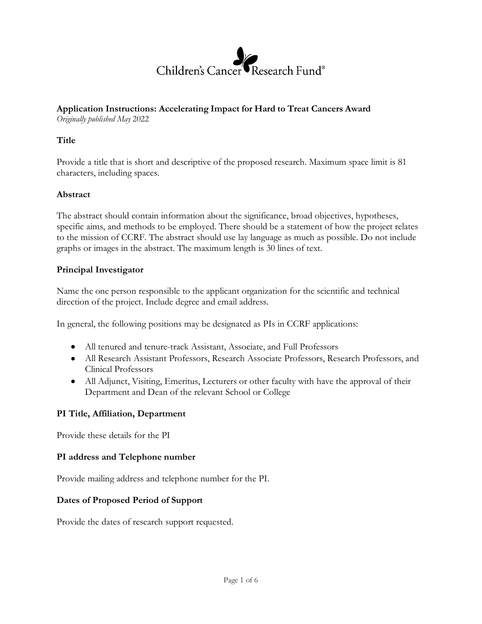

# **Application Instructions: Accelerating Impact for Hard to Treat Cancers Award**

*Originally published May* 2022

## **Title**

Provide a title that is short and descriptive of the proposed research. Maximum space limit is 81 characters, including spaces.

## **Abstract**

The abstract should contain information about the significance, broad objectives, hypotheses, specific aims, and methods to be employed. There should be a statement of how the project relates to the mission of CCRF. The abstract should use lay language as much as possible. Do not include graphs or images in the abstract. The maximum length is 30 lines of text.

## **Principal Investigator**

Name the one person responsible to the applicant organization for the scientific and technical direction of the project. Include degree and email address.

In general, the following positions may be designated as PIs in CCRF applications:

- All tenured and tenure-track Assistant, Associate, and Full Professors
- All Research Assistant Professors, Research Associate Professors, Research Professors, and Clinical Professors
- All Adjunct, Visiting, Emeritus, Lecturers or other faculty with have the approval of their Department and Dean of the relevant School or College

# **PI Title, Affiliation, Department**

Provide these details for the PI

#### **PI address and Telephone number**

Provide mailing address and telephone number for the PI.

#### **Dates of Proposed Period of Support**

Provide the dates of research support requested.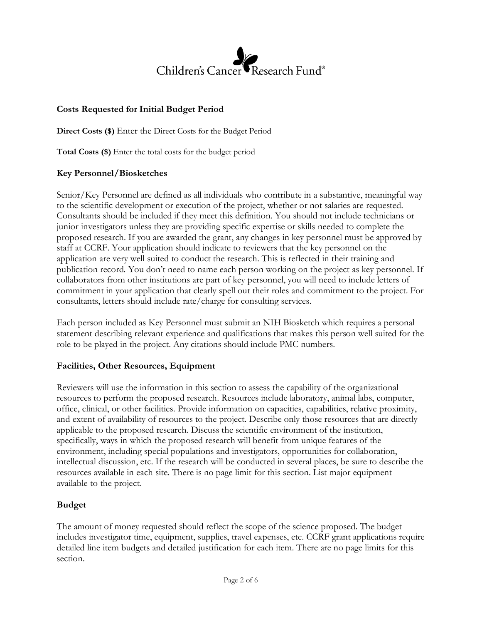# Children's Cancer  $\mathsf{T}$ Research Fund®

# **Costs Requested for Initial Budget Period**

**Direct Costs (\$)** Enter the Direct Costs for the Budget Period

**Total Costs (\$)** Enter the total costs for the budget period

# **Key Personnel/Biosketches**

Senior/Key Personnel are defined as all individuals who contribute in a substantive, meaningful way to the scientific development or execution of the project, whether or not salaries are requested. Consultants should be included if they meet this definition. You should not include technicians or junior investigators unless they are providing specific expertise or skills needed to complete the proposed research. If you are awarded the grant, any changes in key personnel must be approved by staff at CCRF. Your application should indicate to reviewers that the key personnel on the application are very well suited to conduct the research. This is reflected in their training and publication record. You don't need to name each person working on the project as key personnel. If collaborators from other institutions are part of key personnel, you will need to include letters of commitment in your application that clearly spell out their roles and commitment to the project. For consultants, letters should include rate/charge for consulting services.

Each person included as Key Personnel must submit an NIH Biosketch which requires a personal statement describing relevant experience and qualifications that makes this person well suited for the role to be played in the project. Any citations should include PMC numbers.

# **Facilities, Other Resources, Equipment**

Reviewers will use the information in this section to assess the capability of the organizational resources to perform the proposed research. Resources include laboratory, animal labs, computer, office, clinical, or other facilities. Provide information on capacities, capabilities, relative proximity, and extent of availability of resources to the project. Describe only those resources that are directly applicable to the proposed research. Discuss the scientific environment of the institution, specifically, ways in which the proposed research will benefit from unique features of the environment, including special populations and investigators, opportunities for collaboration, intellectual discussion, etc. If the research will be conducted in several places, be sure to describe the resources available in each site. There is no page limit for this section. List major equipment available to the project.

# **Budget**

The amount of money requested should reflect the scope of the science proposed. The budget includes investigator time, equipment, supplies, travel expenses, etc. CCRF grant applications require detailed line item budgets and detailed justification for each item. There are no page limits for this section.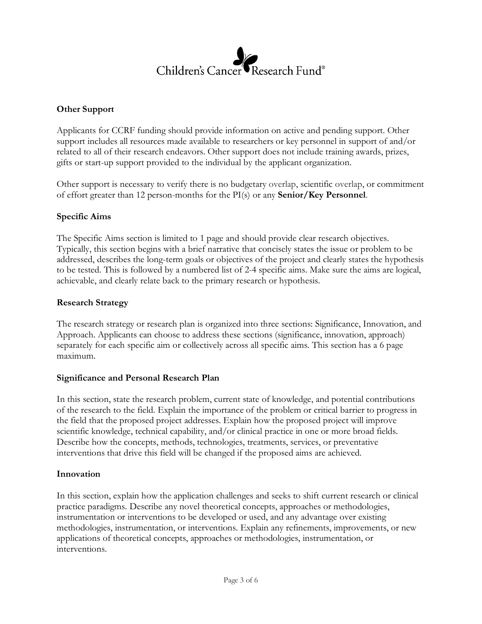# Research Fund® Children's Cancer

## **Other Support**

Applicants for CCRF funding should provide information on active and pending support. Other support includes all resources made available to researchers or key personnel in support of and/or related to all of their research endeavors. Other support does not include training awards, prizes, gifts or start-up support provided to the individual by the applicant organization.

Other support is necessary to verify there is no budgetary overlap, scientific overlap, or commitment of effort greater than 12 person-months for the PI(s) or any **[Senior/Key Personnel](https://grants.nih.gov/grants/policy/nihgps/HTML5/section_2/2.5.1_just-in-time_procedures.htm?Highlight=overlap)**.

#### **Specific Aims**

The Specific Aims section is limited to 1 page and should provide clear research objectives. Typically, this section begins with a brief narrative that concisely states the issue or problem to be addressed, describes the long-term goals or objectives of the project and clearly states the hypothesis to be tested. This is followed by a numbered list of 2-4 specific aims. Make sure the aims are logical, achievable, and clearly relate back to the primary research or hypothesis.

#### **Research Strategy**

The research strategy or research plan is organized into three sections: Significance, Innovation, and Approach. Applicants can choose to address these sections (significance, innovation, approach) separately for each specific aim or collectively across all specific aims. This section has a 6 page maximum.

#### **Significance and Personal Research Plan**

In this section, state the research problem, current state of knowledge, and potential contributions of the research to the field. Explain the importance of the problem or critical barrier to progress in the field that the proposed project addresses. Explain how the proposed project will improve scientific knowledge, technical capability, and/or clinical practice in one or more broad fields. Describe how the concepts, methods, technologies, treatments, services, or preventative interventions that drive this field will be changed if the proposed aims are achieved.

#### **Innovation**

In this section, explain how the application challenges and seeks to shift current research or clinical practice paradigms. Describe any novel theoretical concepts, approaches or methodologies, instrumentation or interventions to be developed or used, and any advantage over existing methodologies, instrumentation, or interventions. Explain any refinements, improvements, or new applications of theoretical concepts, approaches or methodologies, instrumentation, or interventions.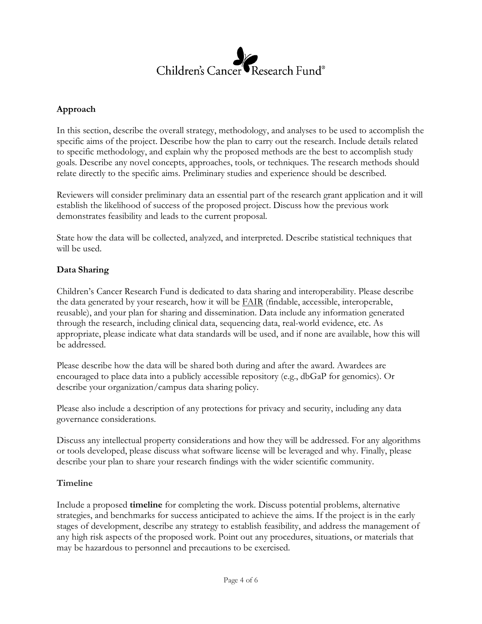

## **Approach**

In this section, describe the overall strategy, methodology, and analyses to be used to accomplish the specific aims of the project. Describe how the plan to carry out the research. Include details related to specific methodology, and explain why the proposed methods are the best to accomplish study goals. Describe any novel concepts, approaches, tools, or techniques. The research methods should relate directly to the specific aims. Preliminary studies and experience should be described.

Reviewers will consider preliminary data an essential part of the research grant application and it will establish the likelihood of success of the proposed project. Discuss how the previous work demonstrates feasibility and leads to the current proposal.

State how the data will be collected, analyzed, and interpreted. Describe statistical techniques that will be used.

#### **Data Sharing**

Children's Cancer Research Fund is dedicated to data sharing and interoperability. Please describe the data generated by your research, how it will be  $FAIR$  $FAIR$  $FAIR$  (findable, accessible, interoperable,</u> reusable), and your plan for sharing and dissemination. Data include any information generated through the research, including clinical data, sequencing data, real-world evidence, etc. As appropriate, please indicate what data standards will be used, and if none are available, how this will be addressed.

Please describe how the data will be shared both during and after the award. Awardees are encouraged to place data into a publicly accessible repository (e.g., dbGaP for genomics). Or describe your organization/campus data sharing policy.

Please also include a description of any protections for privacy and security, including any data governance considerations.

Discuss any intellectual property considerations and how they will be addressed. For any algorithms or tools developed, please discuss what software license will be leveraged and why. Finally, please describe your plan to share your research findings with the wider scientific community.

#### **Timeline**

Include a proposed **timeline** for completing the work. Discuss potential problems, alternative strategies, and benchmarks for success anticipated to achieve the aims. If the project is in the early stages of development, describe any strategy to establish feasibility, and address the management of any high risk aspects of the proposed work. Point out any procedures, situations, or materials that may be hazardous to personnel and precautions to be exercised.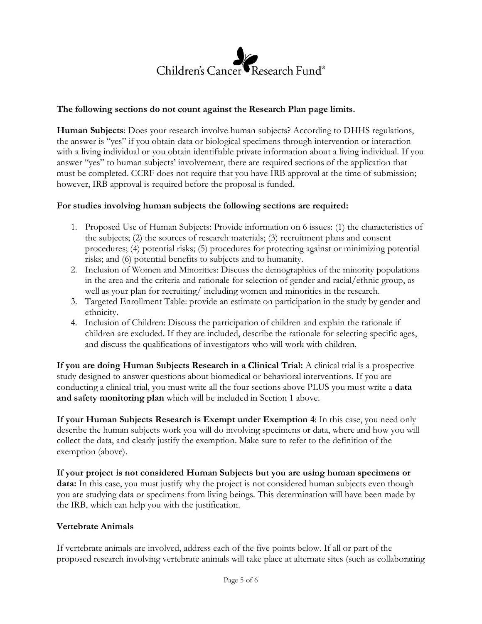

## **The following sections do not count against the Research Plan page limits.**

**Human Subjects**: Does your research involve human subjects? According to DHHS regulations, the answer is "yes" if you obtain data or biological specimens through intervention or interaction with a living individual or you obtain identifiable private information about a living individual. If you answer "yes" to human subjects' involvement, there are required sections of the application that must be completed. CCRF does not require that you have IRB approval at the time of submission; however, IRB approval is required before the proposal is funded.

#### **For studies involving human subjects the following sections are required:**

- 1. Proposed Use of Human Subjects: Provide information on 6 issues: (1) the characteristics of the subjects; (2) the sources of research materials; (3) recruitment plans and consent procedures; (4) potential risks; (5) procedures for protecting against or minimizing potential risks; and (6) potential benefits to subjects and to humanity.
- 2. Inclusion of Women and Minorities: Discuss the demographics of the minority populations in the area and the criteria and rationale for selection of gender and racial/ethnic group, as well as your plan for recruiting/ including women and minorities in the research.
- 3. Targeted Enrollment Table: provide an estimate on participation in the study by gender and ethnicity.
- 4. Inclusion of Children: Discuss the participation of children and explain the rationale if children are excluded. If they are included, describe the rationale for selecting specific ages, and discuss the qualifications of investigators who will work with children.

**If you are doing Human Subjects Research in a Clinical Trial:** A clinical trial is a prospective study designed to answer questions about biomedical or behavioral interventions. If you are conducting a clinical trial, you must write all the four sections above PLUS you must write a **data and safety monitoring plan** which will be included in Section 1 above.

**If your Human Subjects Research is Exempt under Exemption 4**: In this case, you need only describe the human subjects work you will do involving specimens or data, where and how you will collect the data, and clearly justify the exemption. Make sure to refer to the definition of the exemption (above).

**If your project is not considered Human Subjects but you are using human specimens or data:** In this case, you must justify why the project is not considered human subjects even though you are studying data or specimens from living beings. This determination will have been made by the IRB, which can help you with the justification.

#### **Vertebrate Animals**

If vertebrate animals are involved, address each of the five points below. If all or part of the proposed research involving vertebrate animals will take place at alternate sites (such as collaborating